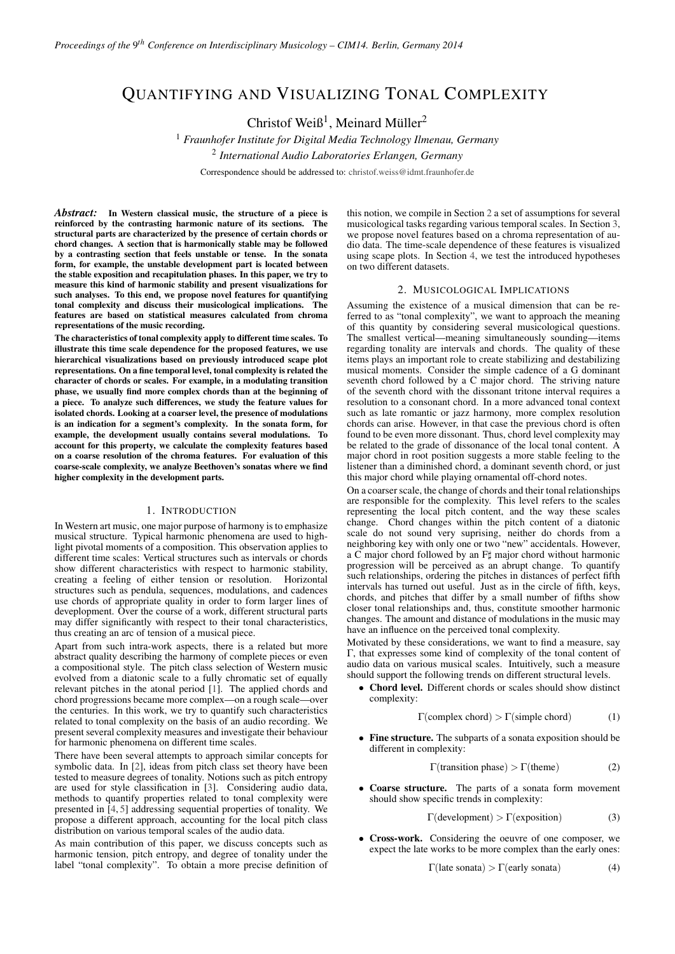# QUANTIFYING AND VISUALIZING TONAL COMPLEXITY

Christof Weiß<sup>1</sup>, Meinard Müller<sup>2</sup>

<sup>1</sup> *Fraunhofer Institute for Digital Media Technology Ilmenau, Germany* 2 *International Audio Laboratories Erlangen, Germany*

Correspondence should be addressed to: [christof.weiss@idmt.fraunhofer.de](mailto:christof.weiss@idmt.fraunhofer.de)

*Abstract:* In Western classical music, the structure of a piece is reinforced by the contrasting harmonic nature of its sections. The structural parts are characterized by the presence of certain chords or chord changes. A section that is harmonically stable may be followed by a contrasting section that feels unstable or tense. In the sonata form, for example, the unstable development part is located between the stable exposition and recapitulation phases. In this paper, we try to measure this kind of harmonic stability and present visualizations for such analyses. To this end, we propose novel features for quantifying tonal complexity and discuss their musicological implications. The features are based on statistical measures calculated from chroma representations of the music recording.

The characteristics of tonal complexity apply to different time scales. To illustrate this time scale dependence for the proposed features, we use hierarchical visualizations based on previously introduced scape plot representations. On a fine temporal level, tonal complexity is related the character of chords or scales. For example, in a modulating transition phase, we usually find more complex chords than at the beginning of a piece. To analyze such differences, we study the feature values for isolated chords. Looking at a coarser level, the presence of modulations is an indication for a segment's complexity. In the sonata form, for example, the development usually contains several modulations. To account for this property, we calculate the complexity features based on a coarse resolution of the chroma features. For evaluation of this coarse-scale complexity, we analyze Beethoven's sonatas where we find higher complexity in the development parts.

## 1. INTRODUCTION

In Western art music, one major purpose of harmony is to emphasize musical structure. Typical harmonic phenomena are used to highlight pivotal moments of a composition. This observation applies to different time scales: Vertical structures such as intervals or chords show different characteristics with respect to harmonic stability, creating a feeling of either tension or resolution. Horizontal structures such as pendula, sequences, modulations, and cadences use chords of appropriate quality in order to form larger lines of deveplopment. Over the course of a work, different structural parts may differ significantly with respect to their tonal characteristics, thus creating an arc of tension of a musical piece.

Apart from such intra-work aspects, there is a related but more abstract quality describing the harmony of complete pieces or even a compositional style. The pitch class selection of Western music evolved from a diatonic scale to a fully chromatic set of equally relevant pitches in the atonal period [\[1\]](#page-3-0). The applied chords and chord progressions became more complex—on a rough scale—over the centuries. In this work, we try to quantify such characteristics related to tonal complexity on the basis of an audio recording. We present several complexity measures and investigate their behaviour for harmonic phenomena on different time scales.

There have been several attempts to approach similar concepts for symbolic data. In [\[2\]](#page-3-1), ideas from pitch class set theory have been tested to measure degrees of tonality. Notions such as pitch entropy are used for style classification in [\[3\]](#page-3-2). Considering audio data, methods to quantify properties related to tonal complexity were presented in [\[4,](#page-3-3) [5\]](#page-3-4) addressing sequential properties of tonality. We propose a different approach, accounting for the local pitch class distribution on various temporal scales of the audio data.

As main contribution of this paper, we discuss concepts such as harmonic tension, pitch entropy, and degree of tonality under the label "tonal complexity". To obtain a more precise definition of this notion, we compile in Section [2](#page-0-0) a set of assumptions for several musicological tasks regarding various temporal scales. In Section [3,](#page-1-0) we propose novel features based on a chroma representation of audio data. The time-scale dependence of these features is visualized using scape plots. In Section [4,](#page-1-1) we test the introduced hypotheses on two different datasets.

#### 2. MUSICOLOGICAL IMPLICATIONS

<span id="page-0-0"></span>Assuming the existence of a musical dimension that can be referred to as "tonal complexity", we want to approach the meaning of this quantity by considering several musicological questions. The smallest vertical—meaning simultaneously sounding—items regarding tonality are intervals and chords. The quality of these items plays an important role to create stabilizing and destabilizing musical moments. Consider the simple cadence of a G dominant seventh chord followed by a C major chord. The striving nature of the seventh chord with the dissonant tritone interval requires a resolution to a consonant chord. In a more advanced tonal context such as late romantic or jazz harmony, more complex resolution chords can arise. However, in that case the previous chord is often found to be even more dissonant. Thus, chord level complexity may be related to the grade of dissonance of the local tonal content. A major chord in root position suggests a more stable feeling to the listener than a diminished chord, a dominant seventh chord, or just this major chord while playing ornamental off-chord notes.

On a coarser scale, the change of chords and their tonal relationships are responsible for the complexity. This level refers to the scales representing the local pitch content, and the way these scales change. Chord changes within the pitch content of a diatonic scale do not sound very suprising, neither do chords from a neighboring key with only one or two "new" accidentals. However, a C major chord followed by an  $F\sharp$  major chord without harmonic progression will be perceived as an abrupt change. To quantify such relationships, ordering the pitches in distances of perfect fifth intervals has turned out useful. Just as in the circle of fifth, keys, chords, and pitches that differ by a small number of fifths show closer tonal relationships and, thus, constitute smoother harmonic changes. The amount and distance of modulations in the music may have an influence on the perceived tonal complexity.

Motivated by these considerations, we want to find a measure, say Γ, that expresses some kind of complexity of the tonal content of audio data on various musical scales. Intuitively, such a measure should support the following trends on different structural levels.

• Chord level. Different chords or scales should show distinct complexity:

$$
\Gamma(\text{complex chord}) > \Gamma(\text{simple chord}) \tag{1}
$$

• Fine structure. The subparts of a sonata exposition should be different in complexity:

Γ(transition phase) > Γ(theme) (2)

Coarse structure. The parts of a sonata form movement should show specific trends in complexity:

 $\Gamma$ (development) >  $\Gamma$ (exposition) (3)

• Cross-work. Considering the oeuvre of one composer, we expect the late works to be more complex than the early ones:

<span id="page-0-1"></span>
$$
\Gamma(\text{late sonata}) > \Gamma(\text{early sonata}) \tag{4}
$$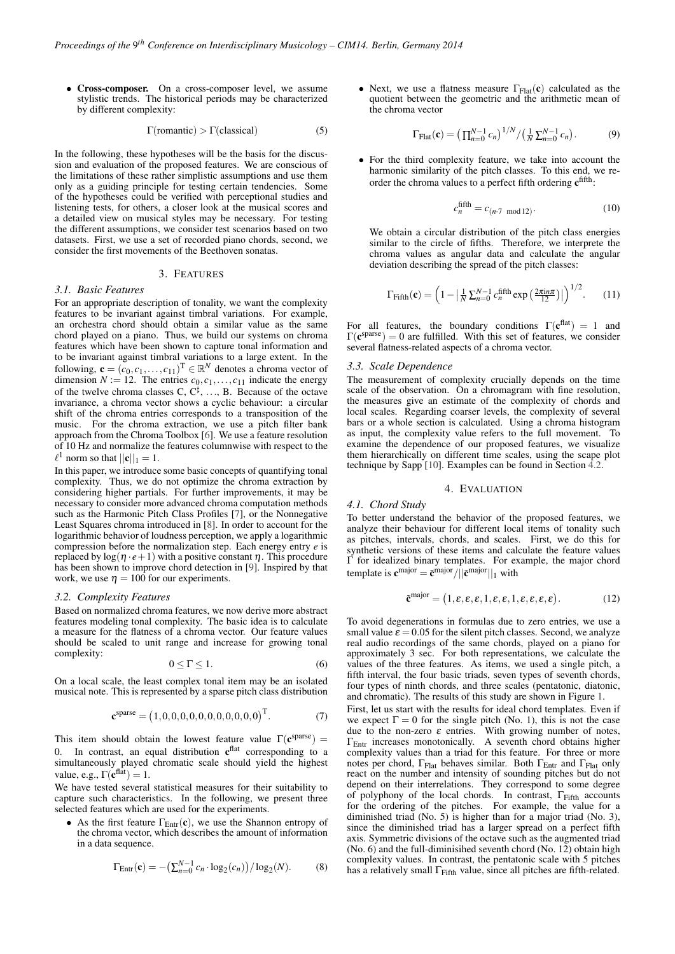• Cross-composer. On a cross-composer level, we assume stylistic trends. The historical periods may be characterized by different complexity:

$$
\Gamma(\text{romatic}) > \Gamma(\text{classical})\tag{5}
$$

In the following, these hypotheses will be the basis for the discussion and evaluation of the proposed features. We are conscious of the limitations of these rather simplistic assumptions and use them only as a guiding principle for testing certain tendencies. Some of the hypotheses could be verified with perceptional studies and listening tests, for others, a closer look at the musical scores and a detailed view on musical styles may be necessary. For testing the different assumptions, we consider test scenarios based on two datasets. First, we use a set of recorded piano chords, second, we consider the first movements of the Beethoven sonatas.

#### 3. FEATURES

## <span id="page-1-0"></span>*3.1. Basic Features*

For an appropriate description of tonality, we want the complexity features to be invariant against timbral variations. For example, an orchestra chord should obtain a similar value as the same chord played on a piano. Thus, we build our systems on chroma features which have been shown to capture tonal information and to be invariant against timbral variations to a large extent. In the following,  $\mathbf{c} = (c_0, c_1, \dots, c_{11})^T \in \mathbb{R}^N$  denotes a chroma vector of dimension  $N := 12$ . The entries  $c_0, c_1, \ldots, c_{11}$  indicate the energy of the twelve chroma classes C,  $C^{\sharp}$ , ..., B. Because of the octave invariance, a chroma vector shows a cyclic behaviour: a circular shift of the chroma entries corresponds to a transposition of the music. For the chroma extraction, we use a pitch filter bank approach from the Chroma Toolbox [\[6\]](#page-3-5). We use a feature resolution of 10 Hz and normalize the features columnwise with respect to the  $\ell^1$  norm so that  $||\mathbf{c}||_1 = 1$ .

In this paper, we introduce some basic concepts of quantifying tonal complexity. Thus, we do not optimize the chroma extraction by considering higher partials. For further improvements, it may be necessary to consider more advanced chroma computation methods such as the Harmonic Pitch Class Profiles [\[7\]](#page-3-6), or the Nonnegative Least Squares chroma introduced in [\[8\]](#page-3-7). In order to account for the logarithmic behavior of loudness perception, we apply a logarithmic compression before the normalization step. Each energy entry *e* is replaced by  $log(\eta \cdot e+1)$  with a positive constant  $\eta$ . This procedure has been shown to improve chord detection in [\[9\]](#page-3-8). Inspired by that work, we use  $\eta = 100$  for our experiments.

#### *3.2. Complexity Features*

Based on normalized chroma features, we now derive more abstract features modeling tonal complexity. The basic idea is to calculate a measure for the flatness of a chroma vector. Our feature values should be scaled to unit range and increase for growing tonal complexity:

$$
0 \le \Gamma \le 1. \tag{6}
$$

On a local scale, the least complex tonal item may be an isolated musical note. This is represented by a sparse pitch class distribution

$$
\mathbf{c}^{\text{sparse}} = (1, 0, 0, 0, 0, 0, 0, 0, 0, 0, 0)^{\text{T}}.
$$
 (7)

This item should obtain the lowest feature value  $\Gamma(\mathbf{c}^{\text{sparse}})$  = 0. In contrast, an equal distribution  $c<sup>flat</sup>$  corresponding to a simultaneously played chromatic scale should yield the highest value, e.g.,  $\Gamma(\mathbf{c}^{\text{flat}}) = 1$ .

We have tested several statistical measures for their suitability to capture such characteristics. In the following, we present three selected features which are used for the experiments.

As the first feature  $\Gamma_{\text{Entr}}(\mathbf{c})$ , we use the Shannon entropy of the chroma vector, which describes the amount of information in a data sequence.

$$
\Gamma_{\text{Entr}}(\mathbf{c}) = -\left(\sum_{n=0}^{N-1} c_n \cdot \log_2(c_n)\right) / \log_2(N). \tag{8}
$$

• Next, we use a flatness measure  $\Gamma_{\text{Flat}}(\mathbf{c})$  calculated as the quotient between the geometric and the arithmetic mean of the chroma vector

$$
\Gamma_{\text{Flat}}(\mathbf{c}) = \left(\prod_{n=0}^{N-1} c_n\right)^{1/N} / \left(\frac{1}{N} \sum_{n=0}^{N-1} c_n\right). \tag{9}
$$

• For the third complexity feature, we take into account the harmonic similarity of the pitch classes. To this end, we reorder the chroma values to a perfect fifth ordering  $c<sup>fifth</sup>$ :

$$
c_n^{\text{fifth}} = c_{(n \cdot 7 \text{ mod } 12)}.
$$
 (10)

We obtain a circular distribution of the pitch class energies similar to the circle of fifths. Therefore, we interprete the chroma values as angular data and calculate the angular deviation describing the spread of the pitch classes:

$$
\Gamma_{\text{Fifth}}(\mathbf{c}) = \left(1 - \left|\frac{1}{N}\sum_{n=0}^{N-1} c_n^{\text{fifth}} \exp\left(\frac{2\pi i n \pi}{12}\right)\right|\right)^{1/2}.\tag{11}
$$

For all features, the boundary conditions  $\Gamma(\mathbf{c}^{\text{flat}}) = 1$  and  $\Gamma(\mathbf{c}^{\text{sparse}}) = 0$  are fulfilled. With this set of features, we consider several flatness-related aspects of a chroma vector.

## <span id="page-1-2"></span>*3.3. Scale Dependence*

The measurement of complexity crucially depends on the time scale of the observation. On a chromagram with fine resolution, the measures give an estimate of the complexity of chords and local scales. Regarding coarser levels, the complexity of several bars or a whole section is calculated. Using a chroma histogram as input, the complexity value refers to the full movement. To examine the dependence of our proposed features, we visualize them hierarchically on different time scales, using the scape plot technique by Sapp  $[10]$ . Examples can be found in Section  $\overline{4.2}$ .

## 4. EVALUATION

#### <span id="page-1-1"></span>*4.1. Chord Study*

To better understand the behavior of the proposed features, we analyze their behaviour for different local items of tonality such as pitches, intervals, chords, and scales. First, we do this for synthetic versions of these items and calculate the feature values Γ for idealized binary templates. For example, the major chord template is  $\mathbf{c}^{\text{major}} = \tilde{\mathbf{c}}^{\text{major}} / ||\tilde{\mathbf{c}}^{\text{major}}||_1$  with

$$
\tilde{\mathbf{c}}^{\text{major}} = (1, \varepsilon, \varepsilon, \varepsilon, 1, \varepsilon, \varepsilon, 1, \varepsilon, \varepsilon, \varepsilon, \varepsilon). \tag{12}
$$

To avoid degenerations in formulas due to zero entries, we use a small value  $\varepsilon = 0.05$  for the silent pitch classes. Second, we analyze real audio recordings of the same chords, played on a piano for approximately 3 sec. For both representations, we calculate the values of the three features. As items, we used a single pitch, a fifth interval, the four basic triads, seven types of seventh chords, four types of ninth chords, and three scales (pentatonic, diatonic, and chromatic). The results of this study are shown in Figure [1.](#page-2-1)

First, let us start with the results for ideal chord templates. Even if we expect  $\Gamma = 0$  for the single pitch (No. 1), this is not the case due to the non-zero  $\varepsilon$  entries. With growing number of notes, ΓEntr increases monotonically. A seventh chord obtains higher complexity values than a triad for this feature. For three or more notes per chord,  $\Gamma_{\text{Flat}}$  behaves similar. Both  $\Gamma_{\text{Entr}}$  and  $\Gamma_{\text{Flat}}$  only react on the number and intensity of sounding pitches but do not depend on their interrelations. They correspond to some degree of polyphony of the local chords. In contrast,  $\Gamma$ <sub>Fifth</sub> accounts for the ordering of the pitches. For example, the value for a diminished triad (No. 5) is higher than for a major triad (No. 3), since the diminished triad has a larger spread on a perfect fifth axis. Symmetric divisions of the octave such as the augmented triad (No. 6) and the full-diminisihed seventh chord (No. 12) obtain high complexity values. In contrast, the pentatonic scale with 5 pitches has a relatively small  $\Gamma$ <sub>Fifth</sub> value, since all pitches are fifth-related.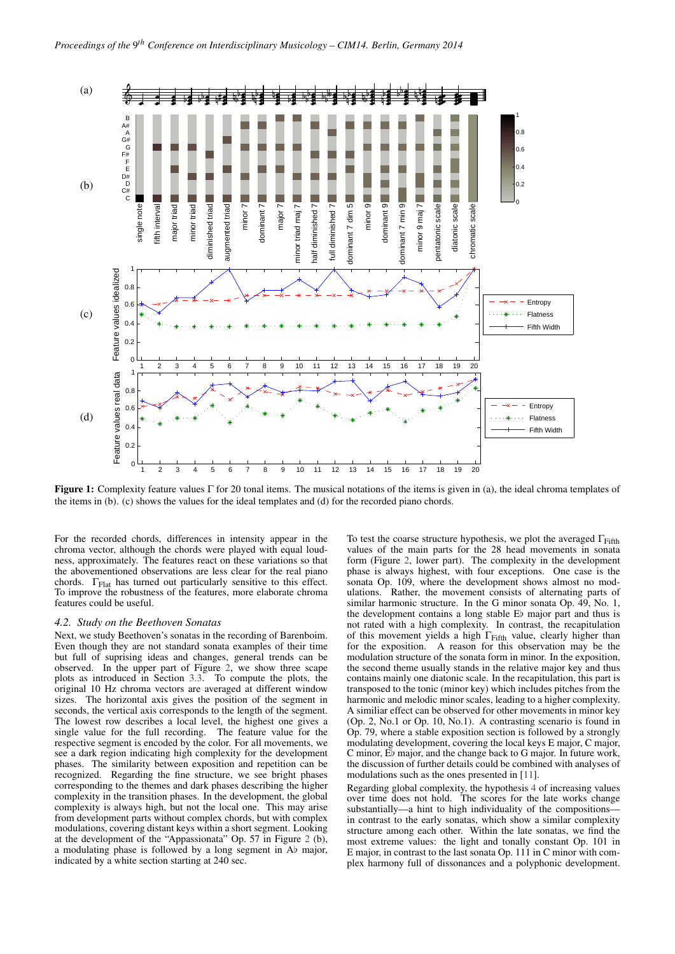<span id="page-2-1"></span>

**Figure 1:** Complexity feature values Γ for 20 tonal items. The musical notations of the items is given in (a), the ideal chroma templates of the items in (b). (c) shows the values for the ideal templates and (d) for the recorded piano chords.

For the recorded chords, differences in intensity appear in the chroma vector, although the chords were played with equal loudness, approximately. The features react on these variations so that the abovementioned observations are less clear for the real piano chords.  $\Gamma_{\text{Flat}}$  has turned out particularly sensitive to this effect. To improve the robustness of the features, more elaborate chroma features could be useful.

#### <span id="page-2-0"></span>*4.2. Study on the Beethoven Sonatas*

Next, we study Beethoven's sonatas in the recording of Barenboim. Even though they are not standard sonata examples of their time but full of suprising ideas and changes, general trends can be observed. In the upper part of Figure [2,](#page-3-10) we show three scape plots as introduced in Section [3.3.](#page-1-2) To compute the plots, the original 10 Hz chroma vectors are averaged at different window sizes. The horizontal axis gives the position of the segment in seconds, the vertical axis corresponds to the length of the segment. The lowest row describes a local level, the highest one gives a single value for the full recording. The feature value for the respective segment is encoded by the color. For all movements, we see a dark region indicating high complexity for the development phases. The similarity between exposition and repetition can be recognized. Regarding the fine structure, we see bright phases corresponding to the themes and dark phases describing the higher complexity in the transition phases. In the development, the global complexity is always high, but not the local one. This may arise from development parts without complex chords, but with complex modulations, covering distant keys within a short segment. Looking at the development of the "Appassionata" Op. 57 in Figure [2](#page-3-10) (b), a modulating phase is followed by a long segment in  $\overrightarrow{Ab}$  major, indicated by a white section starting at 240 sec.

To test the coarse structure hypothesis, we plot the averaged  $\Gamma$ <sub>Fifth</sub> values of the main parts for the 28 head movements in sonata form (Figure [2,](#page-3-10) lower part). The complexity in the development phase is always highest, with four exceptions. One case is the sonata Op. 109, where the development shows almost no modulations. Rather, the movement consists of alternating parts of similar harmonic structure. In the G minor sonata Op. 49, No. 1, the development contains a long stable Eb major part and thus is not rated with a high complexity. In contrast, the recapitulation of this movement yields a high  $\Gamma$ <sub>Fifth</sub> value, clearly higher than for the exposition. A reason for this observation may be the modulation structure of the sonata form in minor. In the exposition, the second theme usually stands in the relative major key and thus contains mainly one diatonic scale. In the recapitulation, this part is transposed to the tonic (minor key) which includes pitches from the harmonic and melodic minor scales, leading to a higher complexity. A similiar effect can be observed for other movements in minor key (Op. 2, No.1 or Op. 10, No.1). A contrasting scenario is found in Op. 79, where a stable exposition section is followed by a strongly modulating development, covering the local keys E major, C major, C minor,  $E\flat$  major, and the change back to G major. In future work, the discussion of further details could be combined with analyses of modulations such as the ones presented in [\[11\]](#page-3-11).

Regarding global complexity, the hypothesis [4](#page-0-1) of increasing values over time does not hold. The scores for the late works change substantially—a hint to high individuality of the compositions in contrast to the early sonatas, which show a similar complexity structure among each other. Within the late sonatas, we find the most extreme values: the light and tonally constant Op. 101 in E major, in contrast to the last sonata Op. 111 in C minor with complex harmony full of dissonances and a polyphonic development.